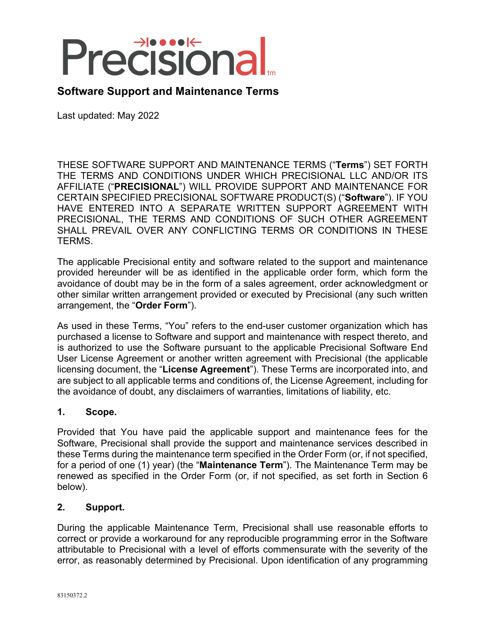# Precisional

# **Software Support and Maintenance Terms**

Last updated: May 2022

THESE SOFTWARE SUPPORT AND MAINTENANCE TERMS ("**Terms**") SET FORTH THE TERMS AND CONDITIONS UNDER WHICH PRECISIONAL LLC AND/OR ITS AFFILIATE ("**PRECISIONAL**") WILL PROVIDE SUPPORT AND MAINTENANCE FOR CERTAIN SPECIFIED PRECISIONAL SOFTWARE PRODUCT(S) ("**Software**"). IF YOU HAVE ENTERED INTO A SEPARATE WRITTEN SUPPORT AGREEMENT WITH PRECISIONAL, THE TERMS AND CONDITIONS OF SUCH OTHER AGREEMENT SHALL PREVAIL OVER ANY CONFLICTING TERMS OR CONDITIONS IN THESE TERMS.

The applicable Precisional entity and software related to the support and maintenance provided hereunder will be as identified in the applicable order form, which form the avoidance of doubt may be in the form of a sales agreement, order acknowledgment or other similar written arrangement provided or executed by Precisional (any such written arrangement, the "**Order Form**").

As used in these Terms, "You" refers to the end-user customer organization which has purchased a license to Software and support and maintenance with respect thereto, and is authorized to use the Software pursuant to the applicable Precisional Software End User License Agreement or another written agreement with Precisional (the applicable licensing document, the "**License Agreement**"). These Terms are incorporated into, and are subject to all applicable terms and conditions of, the License Agreement, including for the avoidance of doubt, any disclaimers of warranties, limitations of liability, etc.

### **1. Scope.**

Provided that You have paid the applicable support and maintenance fees for the Software, Precisional shall provide the support and maintenance services described in these Terms during the maintenance term specified in the Order Form (or, if not specified, for a period of one (1) year) (the "**Maintenance Term**"). The Maintenance Term may be renewed as specified in the Order Form (or, if not specified, as set forth in Section 6 below).

### **2. Support.**

During the applicable Maintenance Term, Precisional shall use reasonable efforts to correct or provide a workaround for any reproducible programming error in the Software attributable to Precisional with a level of efforts commensurate with the severity of the error, as reasonably determined by Precisional. Upon identification of any programming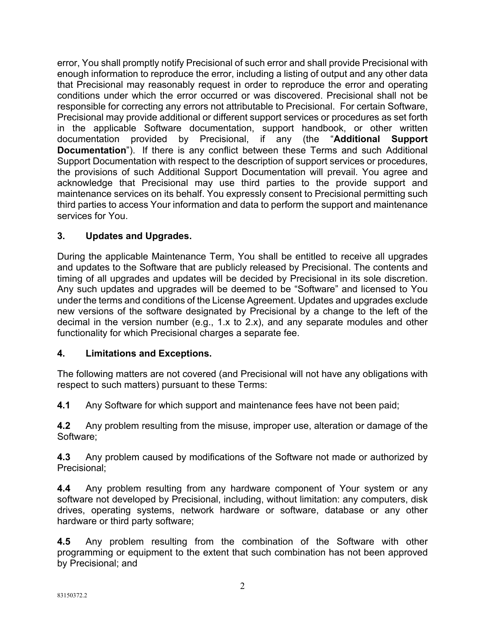error, You shall promptly notify Precisional of such error and shall provide Precisional with enough information to reproduce the error, including a listing of output and any other data that Precisional may reasonably request in order to reproduce the error and operating conditions under which the error occurred or was discovered. Precisional shall not be responsible for correcting any errors not attributable to Precisional. For certain Software, Precisional may provide additional or different support services or procedures as set forth in the applicable Software documentation, support handbook, or other written documentation provided by Precisional, if any (the "**Additional Support Documentation**"). If there is any conflict between these Terms and such Additional Support Documentation with respect to the description of support services or procedures, the provisions of such Additional Support Documentation will prevail. You agree and acknowledge that Precisional may use third parties to the provide support and maintenance services on its behalf. You expressly consent to Precisional permitting such third parties to access Your information and data to perform the support and maintenance services for You.

# **3. Updates and Upgrades.**

During the applicable Maintenance Term, You shall be entitled to receive all upgrades and updates to the Software that are publicly released by Precisional. The contents and timing of all upgrades and updates will be decided by Precisional in its sole discretion. Any such updates and upgrades will be deemed to be "Software" and licensed to You under the terms and conditions of the License Agreement. Updates and upgrades exclude new versions of the software designated by Precisional by a change to the left of the decimal in the version number (e.g., 1.x to 2.x), and any separate modules and other functionality for which Precisional charges a separate fee.

# **4. Limitations and Exceptions.**

The following matters are not covered (and Precisional will not have any obligations with respect to such matters) pursuant to these Terms:

**4.1** Any Software for which support and maintenance fees have not been paid;

**4.2** Any problem resulting from the misuse, improper use, alteration or damage of the Software;

**4.3** Any problem caused by modifications of the Software not made or authorized by Precisional;

**4.4** Any problem resulting from any hardware component of Your system or any software not developed by Precisional, including, without limitation: any computers, disk drives, operating systems, network hardware or software, database or any other hardware or third party software;

**4.5** Any problem resulting from the combination of the Software with other programming or equipment to the extent that such combination has not been approved by Precisional; and